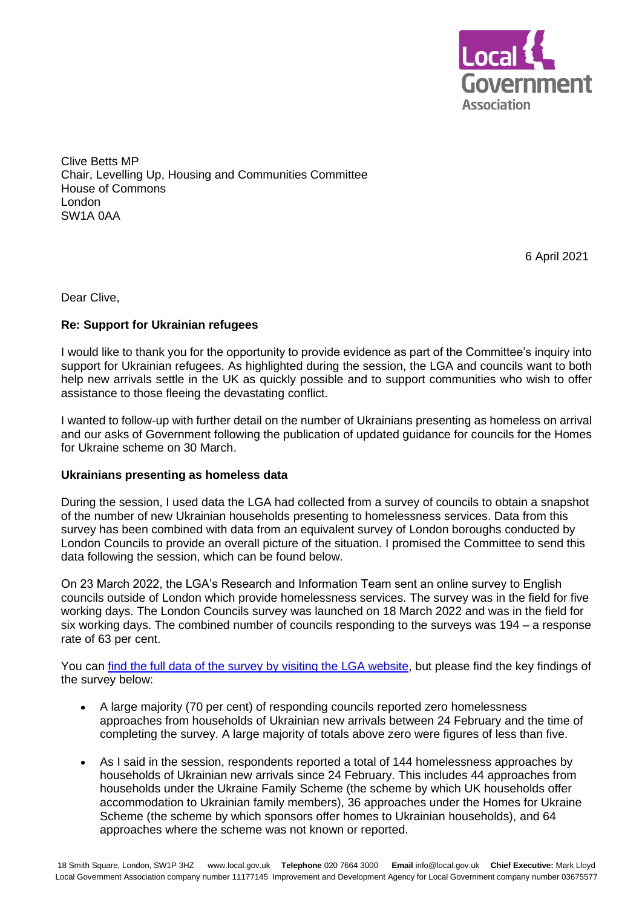

Clive Betts MP Chair, Levelling Up, Housing and Communities Committee House of Commons London SW1A 0AA

6 April 2021

Dear Clive,

# **Re: Support for Ukrainian refugees**

I would like to thank you for the opportunity to provide evidence as part of the Committee's inquiry into support for Ukrainian refugees. As highlighted during the session, the LGA and councils want to both help new arrivals settle in the UK as quickly possible and to support communities who wish to offer assistance to those fleeing the devastating conflict.

I wanted to follow-up with further detail on the number of Ukrainians presenting as homeless on arrival and our asks of Government following the publication of updated guidance for councils for the Homes for Ukraine scheme on 30 March.

## **Ukrainians presenting as homeless data**

During the session, I used data the LGA had collected from a survey of councils to obtain a snapshot of the number of new Ukrainian households presenting to homelessness services. Data from this survey has been combined with data from an equivalent survey of London boroughs conducted by London Councils to provide an overall picture of the situation. I promised the Committee to send this data following the session, which can be found below.

On 23 March 2022, the LGA's Research and Information Team sent an online survey to English councils outside of London which provide homelessness services. The survey was in the field for five working days. The London Councils survey was launched on 18 March 2022 and was in the field for six working days. The combined number of councils responding to the surveys was 194 – a response rate of 63 per cent.

You can [find the full data of the survey by visiting the LGA website,](https://www.local.gov.uk/publications/survey-homelessness-presentations-ukrainian-arrivals) but please find the key findings of the survey below:

- A large majority (70 per cent) of responding councils reported zero homelessness approaches from households of Ukrainian new arrivals between 24 February and the time of completing the survey. A large majority of totals above zero were figures of less than five.
- As I said in the session, respondents reported a total of 144 homelessness approaches by households of Ukrainian new arrivals since 24 February. This includes 44 approaches from households under the Ukraine Family Scheme (the scheme by which UK households offer accommodation to Ukrainian family members), 36 approaches under the Homes for Ukraine Scheme (the scheme by which sponsors offer homes to Ukrainian households), and 64 approaches where the scheme was not known or reported.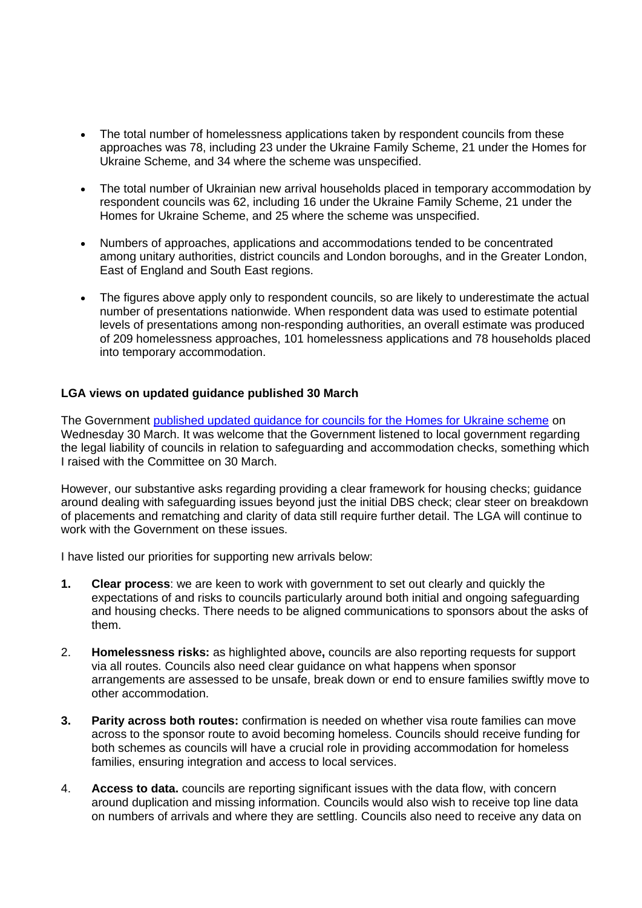- The total number of homelessness applications taken by respondent councils from these approaches was 78, including 23 under the Ukraine Family Scheme, 21 under the Homes for Ukraine Scheme, and 34 where the scheme was unspecified.
- The total number of Ukrainian new arrival households placed in temporary accommodation by respondent councils was 62, including 16 under the Ukraine Family Scheme, 21 under the Homes for Ukraine Scheme, and 25 where the scheme was unspecified.
- Numbers of approaches, applications and accommodations tended to be concentrated among unitary authorities, district councils and London boroughs, and in the Greater London, East of England and South East regions.
- The figures above apply only to respondent councils, so are likely to underestimate the actual number of presentations nationwide. When respondent data was used to estimate potential levels of presentations among non-responding authorities, an overall estimate was produced of 209 homelessness approaches, 101 homelessness applications and 78 households placed into temporary accommodation.

# **LGA views on updated guidance published 30 March**

The Government [published updated guidance for councils for the Homes for Ukraine scheme](https://protect-eu.mimecast.com/s/uDQ0Cy8k2I7BgNPTMlofmB) on Wednesday 30 March. It was welcome that the Government listened to local government regarding the legal liability of councils in relation to safeguarding and accommodation checks, something which I raised with the Committee on 30 March.

However, our substantive asks regarding providing a clear framework for housing checks; guidance around dealing with safeguarding issues beyond just the initial DBS check; clear steer on breakdown of placements and rematching and clarity of data still require further detail. The LGA will continue to work with the Government on these issues.

I have listed our priorities for supporting new arrivals below:

- **1. Clear process**: we are keen to work with government to set out clearly and quickly the expectations of and risks to councils particularly around both initial and ongoing safeguarding and housing checks. There needs to be aligned communications to sponsors about the asks of them.
- 2. **Homelessness risks:** as highlighted above**,** councils are also reporting requests for support via all routes. Councils also need clear guidance on what happens when sponsor arrangements are assessed to be unsafe, break down or end to ensure families swiftly move to other accommodation.
- **3. Parity across both routes:** confirmation is needed on whether visa route families can move across to the sponsor route to avoid becoming homeless. Councils should receive funding for both schemes as councils will have a crucial role in providing accommodation for homeless families, ensuring integration and access to local services.
- 4. **Access to data.** councils are reporting significant issues with the data flow, with concern around duplication and missing information. Councils would also wish to receive top line data on numbers of arrivals and where they are settling. Councils also need to receive any data on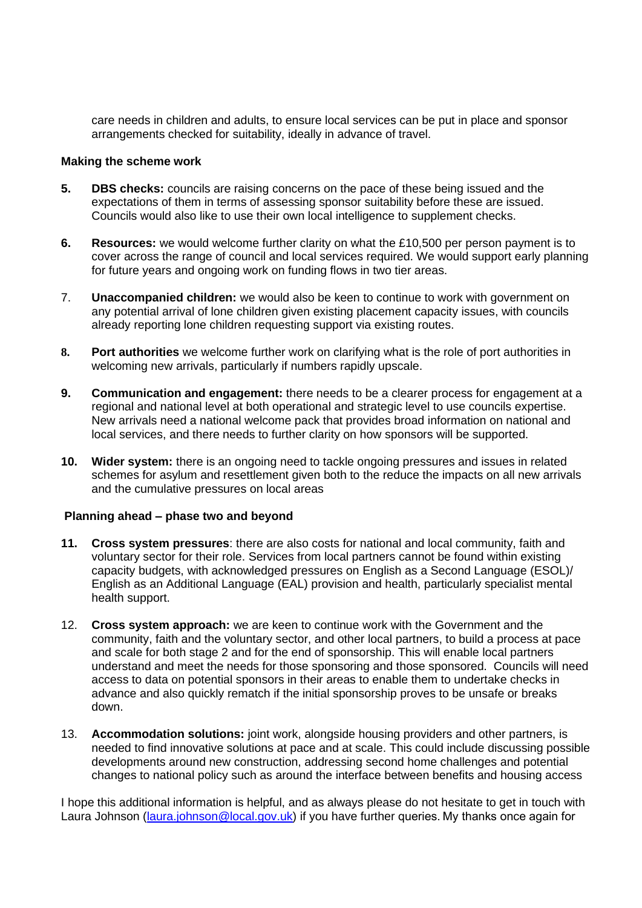care needs in children and adults, to ensure local services can be put in place and sponsor arrangements checked for suitability, ideally in advance of travel.

### **Making the scheme work**

- **5. DBS checks:** councils are raising concerns on the pace of these being issued and the expectations of them in terms of assessing sponsor suitability before these are issued. Councils would also like to use their own local intelligence to supplement checks.
- **6. Resources:** we would welcome further clarity on what the £10,500 per person payment is to cover across the range of council and local services required. We would support early planning for future years and ongoing work on funding flows in two tier areas.
- 7. **Unaccompanied children:** we would also be keen to continue to work with government on any potential arrival of lone children given existing placement capacity issues, with councils already reporting lone children requesting support via existing routes.
- **8. Port authorities** we welcome further work on clarifying what is the role of port authorities in welcoming new arrivals, particularly if numbers rapidly upscale.
- **9. Communication and engagement:** there needs to be a clearer process for engagement at a regional and national level at both operational and strategic level to use councils expertise. New arrivals need a national welcome pack that provides broad information on national and local services, and there needs to further clarity on how sponsors will be supported.
- **10. Wider system:** there is an ongoing need to tackle ongoing pressures and issues in related schemes for asylum and resettlement given both to the reduce the impacts on all new arrivals and the cumulative pressures on local areas

## **Planning ahead – phase two and beyond**

- **11. Cross system pressures**: there are also costs for national and local community, faith and voluntary sector for their role. Services from local partners cannot be found within existing capacity budgets, with acknowledged pressures on English as a Second Language (ESOL)/ English as an Additional Language (EAL) provision and health, particularly specialist mental health support.
- 12. **Cross system approach:** we are keen to continue work with the Government and the community, faith and the voluntary sector, and other local partners, to build a process at pace and scale for both stage 2 and for the end of sponsorship. This will enable local partners understand and meet the needs for those sponsoring and those sponsored. Councils will need access to data on potential sponsors in their areas to enable them to undertake checks in advance and also quickly rematch if the initial sponsorship proves to be unsafe or breaks down.
- 13. **Accommodation solutions:** joint work, alongside housing providers and other partners, is needed to find innovative solutions at pace and at scale. This could include discussing possible developments around new construction, addressing second home challenges and potential changes to national policy such as around the interface between benefits and housing access

I hope this additional information is helpful, and as always please do not hesitate to get in touch with Laura Johnson [\(laura.johnson@local.gov.uk\)](mailto:laura.johnson@local.gov.uk) if you have further queries. My thanks once again for